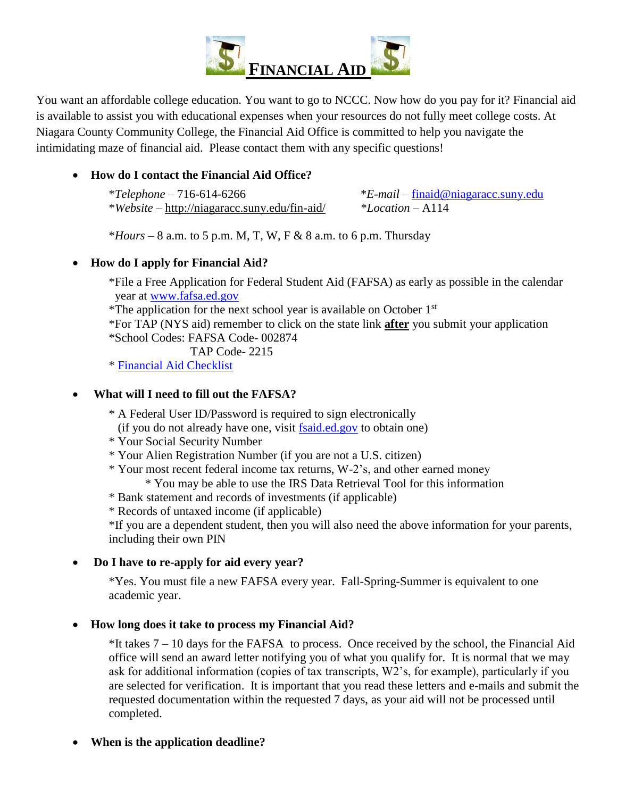

You want an affordable college education. You want to go to NCCC. Now how do you pay for it? Financial aid is available to assist you with educational expenses when your resources do not fully meet college costs. At Niagara County Community College, the Financial Aid Office is committed to help you navigate the intimidating maze of financial aid. Please contact them with any specific questions!

## **How do I contact the Financial Aid Office?**

| $*Telephone - 716-614-6266$                           | $E$ - <i>mail</i> – finaid@niagaracc.suny.edu |
|-------------------------------------------------------|-----------------------------------------------|
| * <i>Website</i> – http://niagaracc.suny.edu/fin-aid/ | *Location – A114                              |

 $*$ *Hours* – 8 a.m. to 5 p.m. M, T, W, F & 8 a.m. to 6 p.m. Thursday

## **How do I apply for Financial Aid?**

- \*File a Free Application for Federal Student Aid (FAFSA) as early as possible in the calendar year at [www.fafsa.ed.gov](file:///C:/Users/kzuccari/Desktop/www.fafsa.ed.gov)
- \*The application for the next school year is available on October  $1<sup>st</sup>$
- \*For TAP (NYS aid) remember to click on the state link **after** you submit your application \*School Codes: FAFSA Code- 002874
	- TAP Code- 2215

\* [Financial Aid Checklist](https://drive.google.com/open?id=1SjJifDt2lX9AzSbgXEUDwaOK278rYgs_)

# **What will I need to fill out the FAFSA?**

- \* A Federal User ID/Password is required to sign electronically
- (if you do not already have one, visit [fsaid.ed.gov](http://www.pin.ed.gov/) to obtain one)
- \* Your Social Security Number
- \* Your Alien Registration Number (if you are not a U.S. citizen)
- \* Your most recent federal income tax returns, W-2's, and other earned money
	- \* You may be able to use the IRS Data Retrieval Tool for this information
- \* Bank statement and records of investments (if applicable)
- \* Records of untaxed income (if applicable)

\*If you are a dependent student, then you will also need the above information for your parents, including their own PIN

## **Do I have to re-apply for aid every year?**

\*Yes. You must file a new FAFSA every year. Fall-Spring-Summer is equivalent to one academic year.

## **How long does it take to process my Financial Aid?**

 $*$ It takes  $7 - 10$  days for the FAFSA to process. Once received by the school, the Financial Aid office will send an award letter notifying you of what you qualify for. It is normal that we may ask for additional information (copies of tax transcripts, W2's, for example), particularly if you are selected for verification. It is important that you read these letters and e-mails and submit the requested documentation within the requested 7 days, as your aid will not be processed until completed.

**When is the application deadline?**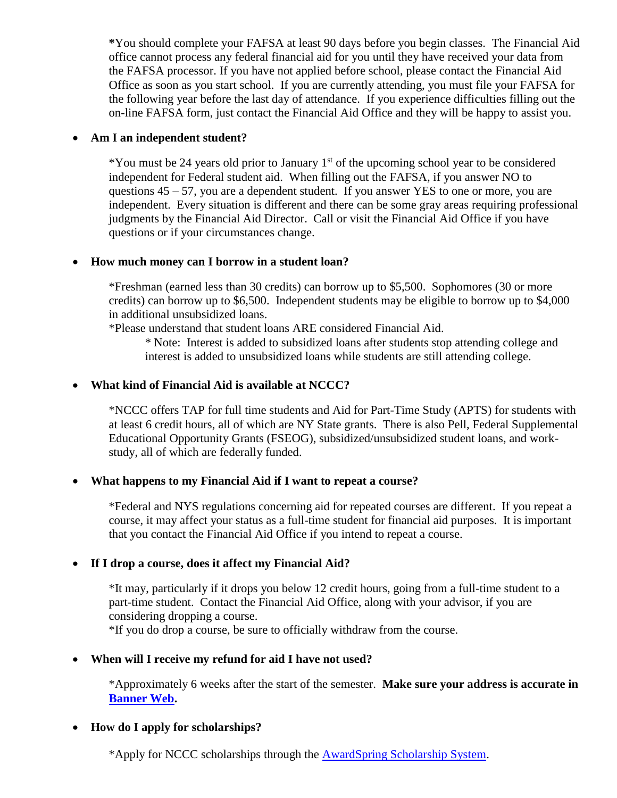**\***You should complete your FAFSA at least 90 days before you begin classes. The Financial Aid office cannot process any federal financial aid for you until they have received your data from the FAFSA processor. If you have not applied before school, please contact the Financial Aid Office as soon as you start school. If you are currently attending, you must file your FAFSA for the following year before the last day of attendance. If you experience difficulties filling out the on-line FAFSA form, just contact the Financial Aid Office and they will be happy to assist you.

### **Am I an independent student?**

 $*$ You must be 24 years old prior to January 1<sup>st</sup> of the upcoming school year to be considered independent for Federal student aid. When filling out the FAFSA, if you answer NO to questions  $45 - 57$ , you are a dependent student. If you answer YES to one or more, you are independent. Every situation is different and there can be some gray areas requiring professional judgments by the Financial Aid Director. Call or visit the Financial Aid Office if you have questions or if your circumstances change.

#### **How much money can I borrow in a student loan?**

\*Freshman (earned less than 30 credits) can borrow up to \$5,500. Sophomores (30 or more credits) can borrow up to \$6,500. Independent students may be eligible to borrow up to \$4,000 in additional unsubsidized loans.

\*Please understand that student loans ARE considered Financial Aid.

\* Note: Interest is added to subsidized loans after students stop attending college and interest is added to unsubsidized loans while students are still attending college.

### **What kind of Financial Aid is available at NCCC?**

\*NCCC offers TAP for full time students and Aid for Part-Time Study (APTS) for students with at least 6 credit hours, all of which are NY State grants. There is also Pell, Federal Supplemental Educational Opportunity Grants (FSEOG), subsidized/unsubsidized student loans, and workstudy, all of which are federally funded.

### **What happens to my Financial Aid if I want to repeat a course?**

\*Federal and NYS regulations concerning aid for repeated courses are different. If you repeat a course, it may affect your status as a full-time student for financial aid purposes. It is important that you contact the Financial Aid Office if you intend to repeat a course.

### **If I drop a course, does it affect my Financial Aid?**

\*It may, particularly if it drops you below 12 credit hours, going from a full-time student to a part-time student. Contact the Financial Aid Office, along with your advisor, if you are considering dropping a course.

\*If you do drop a course, be sure to officially withdraw from the course.

#### **When will I receive my refund for aid I have not used?**

\*Approximately 6 weeks after the start of the semester. **Make sure your address is accurate in [Banner Web.](https://ncccbanner.itec.suny.edu/PROD/twbkwbis.P_GenMenu?name=homepage)**

### **How do I apply for scholarships?**

\*Apply for NCCC scholarships through the [AwardSpring Scholarship System.](https://niagaracc.awardspring.com/)